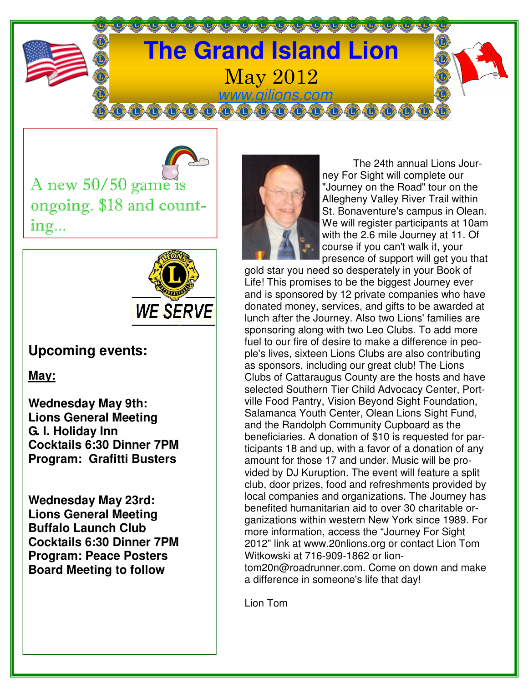

A new  $50/50$  game is ongoing. \$18 and counting...



## **Upcoming events:**

**May:**

**Wednesday May 9th: Lions General Meeting G. I. Holiday Inn Cocktails 6:30 Dinner 7PM Program: Grafitti Busters** 

**Wednesday May 23rd: Lions General Meeting Buffalo Launch Club Cocktails 6:30 Dinner 7PM Program: Peace Posters Board Meeting to follow** 



 The 24th annual Lions Journey For Sight will complete our "Journey on the Road" tour on the Allegheny Valley River Trail within St. Bonaventure's campus in Olean. We will register participants at 10am with the 2.6 mile Journey at 11. Of course if you can't walk it, your presence of support will get you that

gold star you need so desperately in your Book of Life! This promises to be the biggest Journey ever and is sponsored by 12 private companies who have donated money, services, and gifts to be awarded at lunch after the Journey. Also two Lions' families are sponsoring along with two Leo Clubs. To add more fuel to our fire of desire to make a difference in people's lives, sixteen Lions Clubs are also contributing as sponsors, including our great club! The Lions Clubs of Cattaraugus County are the hosts and have selected Southern Tier Child Advocacy Center, Portville Food Pantry, Vision Beyond Sight Foundation, Salamanca Youth Center, Olean Lions Sight Fund, and the Randolph Community Cupboard as the beneficiaries. A donation of \$10 is requested for participants 18 and up, with a favor of a donation of any amount for those 17 and under. Music will be provided by DJ Kuruption. The event will feature a split club, door prizes, food and refreshments provided by local companies and organizations. The Journey has benefited humanitarian aid to over 30 charitable organizations within western New York since 1989. For more information, access the "Journey For Sight 2012" link at www.20nlions.org or contact Lion Tom Witkowski at 716-909-1862 or liontom20n@roadrunner.com. Come on down and make a difference in someone's life that day!

Lion Tom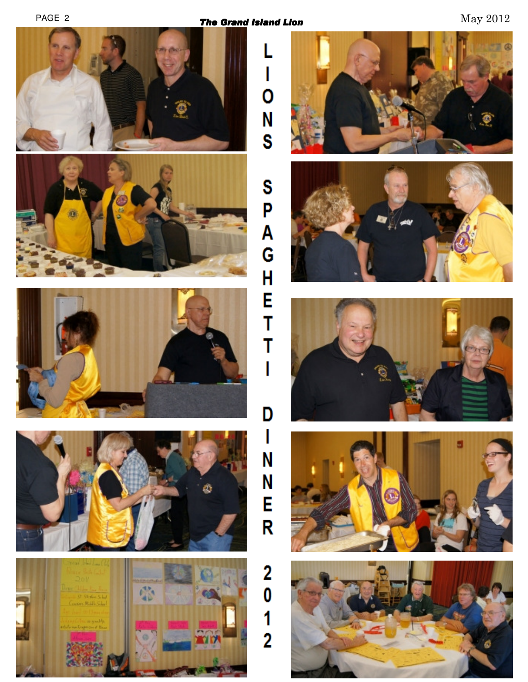PAGE 2 **The Grand Island Lion** Grand **Grand Island Lion** May 2012

ı

0

N<br>S

Ï

D

 $\mathbf{I}$ 

N

N<br>E

 $\mathsf R$ 

 $\overline{\mathbf{2}}$ 

 $\boldsymbol{0}$ 

 $\frac{1}{2}$ 











ø







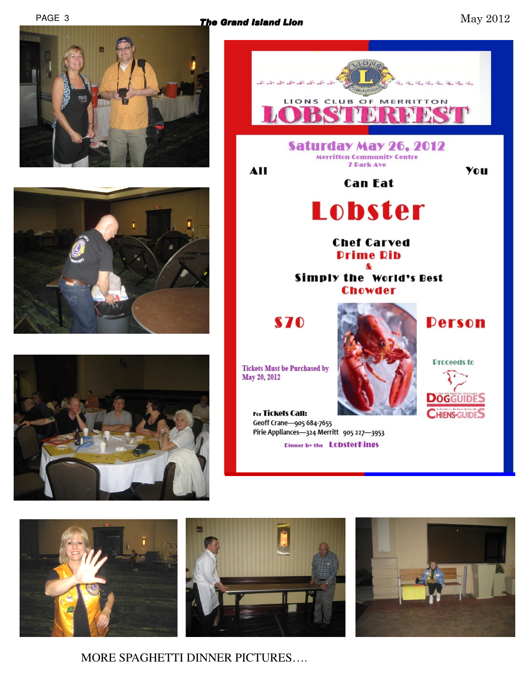## PAGE 3 **The Grand Island Lion** Grand **Container and American Container May 2012**









 $O<sub>1</sub>$ 



MORE SPAGHETTI DINNER PICTURES….